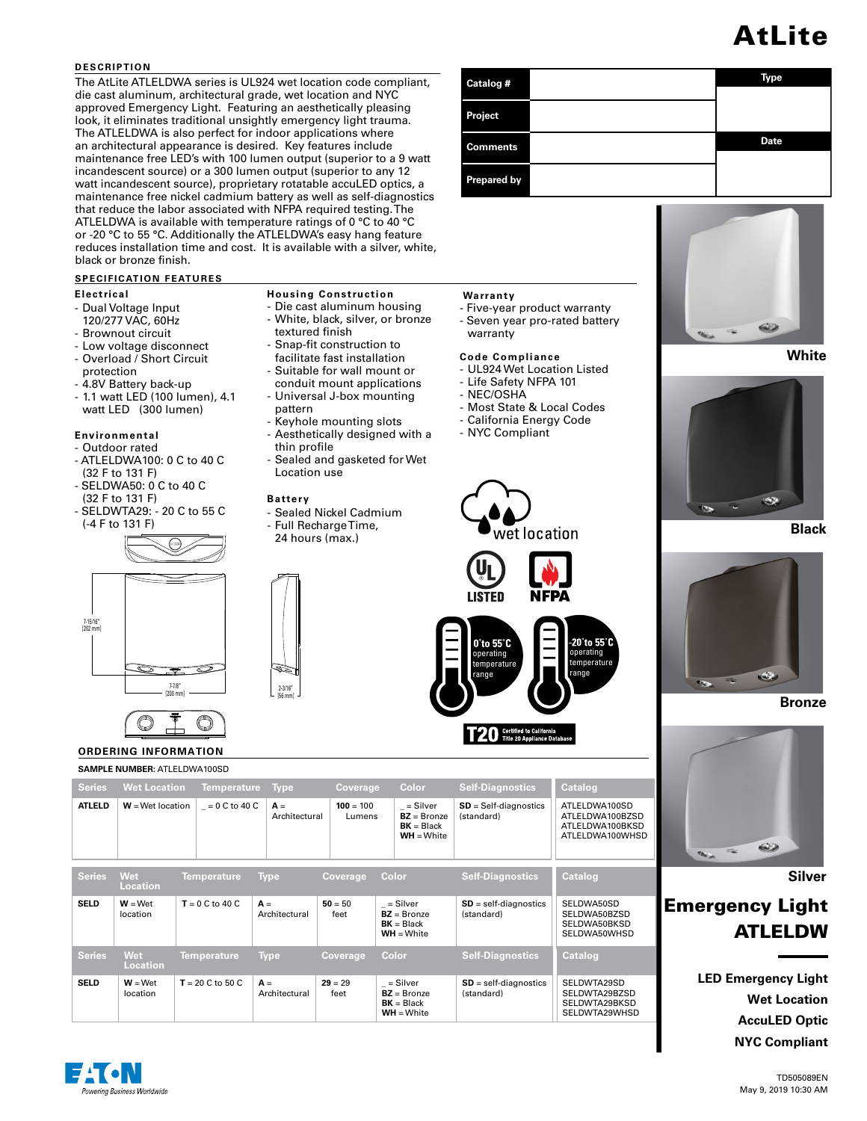## AtLite

**Date**

#### **DESCRIPTION**

The AtLite ATLELDWA series is UL924 wet location code compliant, die cast aluminum, architectural grade, wet location and NYC approved Emergency Light. Featuring an aesthetically pleasing look, it eliminates traditional unsightly emergency light trauma. The ATLELDWA is also perfect for indoor applications where an architectural appearance is desired. Key features include maintenance free LED's with 100 lumen output (superior to a 9 watt incandescent source) or a 300 lumen output (superior to any 12 watt incandescent source), proprietary rotatable accuLED optics, a maintenance free nickel cadmium battery as well as self-diagnostics that reduce the labor associated with NFPA required testing. The ATLELDWA is available with temperature ratings of 0 °C to 40 °C or -20 °C to 55 °C. Additionally the ATLELDWA's easy hang feature reduces installation time and cost. It is available with a silver, white, black or bronze finish.

> **Housing Construction** - Die cast aluminum housing - White, black, silver, or bronze

> - Keyhole mounting slots - Aesthetically designed with a

- Sealed Nickel Cadmium - Full Recharge Time, 24 hours (max.)

- Sealed and gasketed for Wet

textured finish - Snap-fit construction to facilitate fast installation - Suitable for wall mount or conduit mount applications - Universal J-box mounting

pattern

**Battery**

2-3/16" [56 mm]

thin profile

Location use

#### **SPECIFICATION FEATURES**

#### **Electrical**

- Dual Voltage Input
- 120/277 VAC, 60Hz
- Brownout circuit
- Low voltage disconnect - Overload / Short Circuit
- protection
- 4.8V Battery back-up
- 1.1 watt LED (100 lumen), 4.1 watt LED (300 lumen)

#### **Environmental**

- Outdoor rated - ATLELDWA100: 0 C to 40 C
- (32 F to 131 F)
- SELDWA50: 0 C to 40 C (32 F to 131 F)
- SELDWTA29: 20 C to 55 C (-4 F to 131 F)



# $\overline{\mathbb{A}}$

#### **ORD SAMP**

|                             | <b>Certified to California</b><br><b>Title 20 Appliance Database</b> |  |                    |                               |                             |                                                           |                                              |                                                        |  |  |
|-----------------------------|----------------------------------------------------------------------|--|--------------------|-------------------------------|-----------------------------|-----------------------------------------------------------|----------------------------------------------|--------------------------------------------------------|--|--|
| <b>ORDERING INFORMATION</b> |                                                                      |  |                    |                               |                             |                                                           |                                              |                                                        |  |  |
|                             | <b>SAMPLE NUMBER: ATLELDWA100SD</b>                                  |  |                    |                               |                             |                                                           |                                              |                                                        |  |  |
| <b>Series</b>               | <b>Wet Location</b>                                                  |  | <b>Temperature</b> | <b>Type</b>                   | <b>Coverage</b>             | Color                                                     | <b>Self-Diagnostics</b>                      | Catalog                                                |  |  |
| ATLELD                      | $W =$ Wet location                                                   |  | $= 0 C$ to 40 C    | $A =$<br>Architectural        | $100 = 100$<br>Lumens       | = Silver<br>$BZ =$ Bronze<br>$BK = Black$<br>$WH = White$ | $SD = Self-diagnostic$<br>(standard)         | <b>ATLELDV</b><br>ATLELDV<br><b>ATLELDV</b><br>ATLELDV |  |  |
| <b>Series</b>               | <b>Wet</b><br><b>Location</b>                                        |  | <b>Temperature</b> | Type                          | Coverage                    | Color                                                     | <b>Self-Diagnostics</b>                      | Catalog                                                |  |  |
| SELD                        | $W = W$ et<br>$l$ aatian                                             |  | $T = 0 C$ to 40 C  | $A =$<br>$A$ robito other all | $50 = 50$<br>$f \circ \neg$ | = Silver<br>$D7 - D$ <sub>ron</sub> -o                    | $SD = self-diagonostics$<br>$ $ otondord $ $ | <b>SELDWA</b><br>CELDIMA                               |  |  |

| SELD          | $W = W$ et<br>location | $T = 0 C$ to 40 C  | $A =$<br>Architectural | $50 = 50$<br>feet | = Silver<br>$BZ =$ Bronze<br>$BK = Black$<br>$WH = White$ | $SD = self-diagonostics$<br>(standard) | SELDWA50SD<br>SELDWA50BZSD<br>SELDWA50BKSD<br>SELDWA50WHSD |
|---------------|------------------------|--------------------|------------------------|-------------------|-----------------------------------------------------------|----------------------------------------|------------------------------------------------------------|
| <b>Series</b> | Wet<br><b>Location</b> | <b>Temperature</b> | <b>Type</b>            | <b>Coverage</b>   | Color                                                     | <b>Self-Diagnostics</b>                | <b>Catalog</b>                                             |
| SELD          | $W = W$ et<br>location | $T = 20 C$ to 50 C | $A =$<br>Architectural | $29 = 29$<br>feet | = Silver<br>$BZ =$ Bronze<br>$RK - Black$                 | $SD = self-diagonostics$<br>(standard) | SELDWTA29SD<br>SELDWTA29BZSD<br>SELDWTA29RKSD              |

**WH** = White

#### **Warranty**

**Project** 

**Comments** 

**Prepared by**

- Five-year product warranty

**Catalog # Type** 

- Seven year pro-rated battery warranty

#### **Code Compliance**

- UL924 Wet Location Listed
- Life Safety NFPA 101
- NEC/OSHA

operating mnerature range

 $0°$ to 55 $°$ C

**ISTED** 

- Most State & Local Codes
- California Energy Code

wet location

**NFPA** 

ATLELDWA100SD ATLELDWA100BZSD ATLELDWA100BKSD ATLELDWA100WHSD

SELDWTA29WHSD

operating temperature range

to 55°

- NYC Compliant





**Black**



**Bronze**



**Silver**

### Emergency Light ATLELDW

**LED Emergency Light Wet Location AccuLED Optic NYC Compliant**

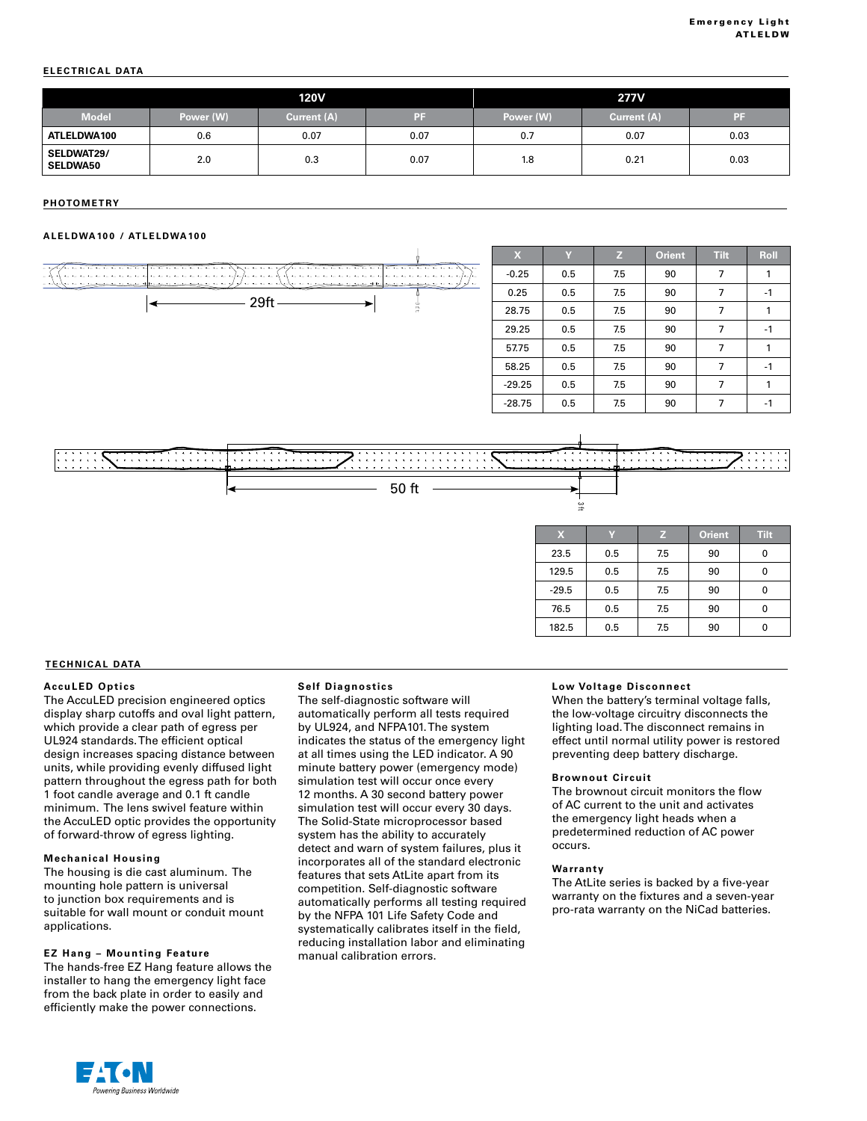#### **ELECTRICAL DATA**

|                                      | <b>120V</b> |             |      | <b>277V</b> |             |      |
|--------------------------------------|-------------|-------------|------|-------------|-------------|------|
| <b>Model</b>                         | Power (W)   | Current (A) | PF   | Power (W)   | Current (A) | Æ    |
| ATLELDWA100                          | 0.6         | 0.07        | 0.07 | 0.7         | 0.07        | 0.03 |
| <b>SELDWAT29/</b><br><b>SELDWA50</b> | 2.0         | 0.3         | 0.07 | 1.8         | 0.21        | 0.03 |

#### **PHOTOMETRY**  $\overline{\phantom{a}}$  , and  $\overline{\phantom{a}}$  arrangement Total Lamp Lumens Lamp Lumens Lemma Lumens Lemma Lumens Lumens Lumens Lumens Lumens Lumens Lumens Lumens Lumens Lumens Lumens Lumens Lumens Lumens Lumens Lumens Lumens Lumens Lume

#### **ALELDWA100 / ATLELDWA100**





#### **TECHNICAL DATA**

#### **AccuLED Optics**

The AccuLED precision engineered optics display sharp cutoffs and oval light pattern, which provide a clear path of egress per UL924 standards. The efficient optical design increases spacing distance between units, while providing evenly diffused light pattern throughout the egress path for both 1 foot candle average and 0.1 ft candle minimum. The lens swivel feature within the AccuLED optic provides the opportunity of forward-throw of egress lighting.

#### **Mechanical Housing**

The housing is die cast aluminum. The mounting hole pattern is universal to junction box requirements and is suitable for wall mount or conduit mount applications.

#### **EZ Hang – Mounting Feature**

The hands-free EZ Hang feature allows the installer to hang the emergency light face from the back plate in order to easily and efficiently make the power connections.

#### **Self Diagnostics**

The self-diagnostic software will automatically perform all tests required by UL924, and NFPA101. The system indicates the status of the emergency light at all times using the LED indicator. A 90 minute battery power (emergency mode) simulation test will occur once every 12 months. A 30 second battery power simulation test will occur every 30 days. The Solid-State microprocessor based system has the ability to accurately detect and warn of system failures, plus it incorporates all of the standard electronic features that sets AtLite apart from its competition. Self-diagnostic software automatically performs all testing required by the NFPA 101 Life Safety Code and systematically calibrates itself in the field, reducing installation labor and eliminating manual calibration errors.

#### **Low Voltage Disconnect**

When the battery's terminal voltage falls, the low-voltage circuitry disconnects the lighting load. The disconnect remains in effect until normal utility power is restored preventing deep battery discharge.

#### **Brownout Circuit**

The brownout circuit monitors the flow of AC current to the unit and activates the emergency light heads when a predetermined reduction of AC power occurs.

#### **Warranty**

The AtLite series is backed by a five-year warranty on the fixtures and a seven-year pro-rata warranty on the NiCad batteries.